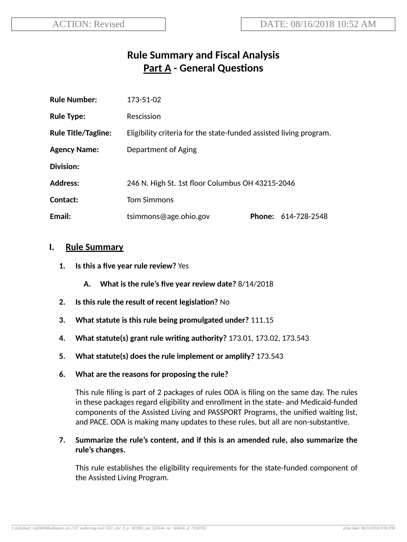# **Rule Summary and Fiscal Analysis Part A - General Questions**

| <b>Rule Number:</b>        | 173-51-02                                                          |  |                     |
|----------------------------|--------------------------------------------------------------------|--|---------------------|
| <b>Rule Type:</b>          | Rescission                                                         |  |                     |
| <b>Rule Title/Tagline:</b> | Eligibility criteria for the state-funded assisted living program. |  |                     |
| <b>Agency Name:</b>        | Department of Aging                                                |  |                     |
| Division:                  |                                                                    |  |                     |
| <b>Address:</b>            | 246 N. High St. 1st floor Columbus OH 43215-2046                   |  |                     |
| Contact:                   | <b>Tom Simmons</b>                                                 |  |                     |
| Email:                     | tsimmons@age.ohio.gov                                              |  | Phone: 614-728-2548 |

#### **I. Rule Summary**

- **1. Is this a five year rule review?** Yes
	- **A. What is the rule's five year review date?** 8/14/2018
- **2.** Is this rule the result of recent legislation? No
- **3. What statute is this rule being promulgated under?** 111.15
- **4. What statute(s) grant rule wring authority?** 173.01, 173.02, 173.543
- **5. What statute(s) does the rule implement or amplify?** 173.543
- **6. What are the reasons for proposing the rule?**

This rule filing is part of 2 packages of rules ODA is filing on the same day. The rules in these packages regard eligibility and enrollment in the state- and Medicaid-funded components of the Assisted Living and PASSPORT Programs, the unified waiting list, and PACE. ODA is making many updates to these rules, but all are non-substantive.

#### **7. Summarize the rule's content, and if this is an amended rule, also summarize the rule's changes.**

This rule establishes the eligibility requirements for the state-funded component of the Assisted Living Program.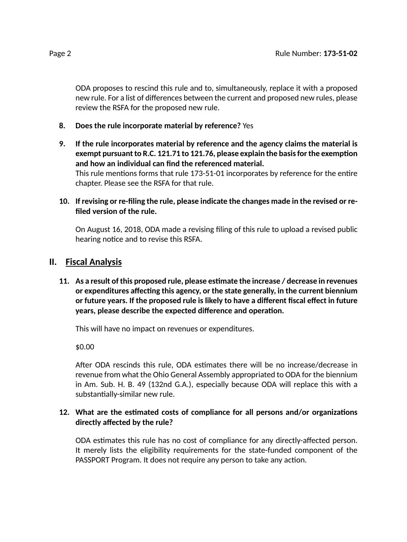ODA proposes to rescind this rule and to, simultaneously, replace it with a proposed new rule. For a list of differences between the current and proposed new rules, please review the RSFA for the proposed new rule.

- **8. Does the rule incorporate material by reference?** Yes
- **9. If the rule incorporates material by reference and the agency claims the material is exempt** pursuant to R.C. 121.71 to 121.76, please explain the basis for the exemption **and how an individual can find the referenced material.** This rule mentions forms that rule 173-51-01 incorporates by reference for the entire chapter. Please see the RSFA for that rule.
- **10. If revising or re-filing the rule, please indicate the changes made in the revised or refiled version of the rule.**

On August 16, 2018, ODA made a revising filing of this rule to upload a revised public hearing notice and to revise this RSFA.

## **II. Fiscal Analysis**

**11. As a result of this proposed rule, please esmate the increase / decrease in revenues** *<u>or* **expenditures** affecting this agency, or the state generally, in the current biennium</u> **or future years. If the proposed rule is likely to have a different fiscal effect in future years, please describe the expected difference and operation.** 

This will have no impact on revenues or expenditures.

\$0.00

After ODA rescinds this rule, ODA estimates there will be no increase/decrease in revenue from what the Ohio General Assembly appropriated to ODA for the biennium in Am. Sub. H. B. 49 (132nd G.A.), especially because ODA will replace this with a substantially-similar new rule.

### 12. What are the estimated costs of compliance for all persons and/or organizations **directly affected by the rule?**

ODA estimates this rule has no cost of compliance for any directly-affected person. It merely lists the eligibility requirements for the state-funded component of the PASSPORT Program. It does not require any person to take any action.